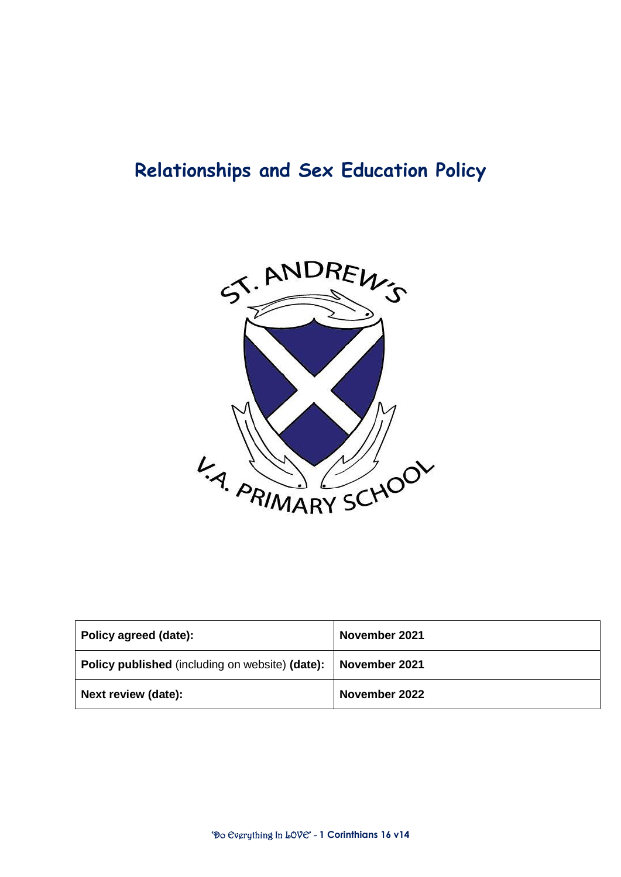# **Relationships and Sex Education Policy**



| Policy agreed (date):                                                | November 2021 |
|----------------------------------------------------------------------|---------------|
| <b>Policy published</b> (including on website) (date): November 2021 |               |
| Next review (date):                                                  | November 2022 |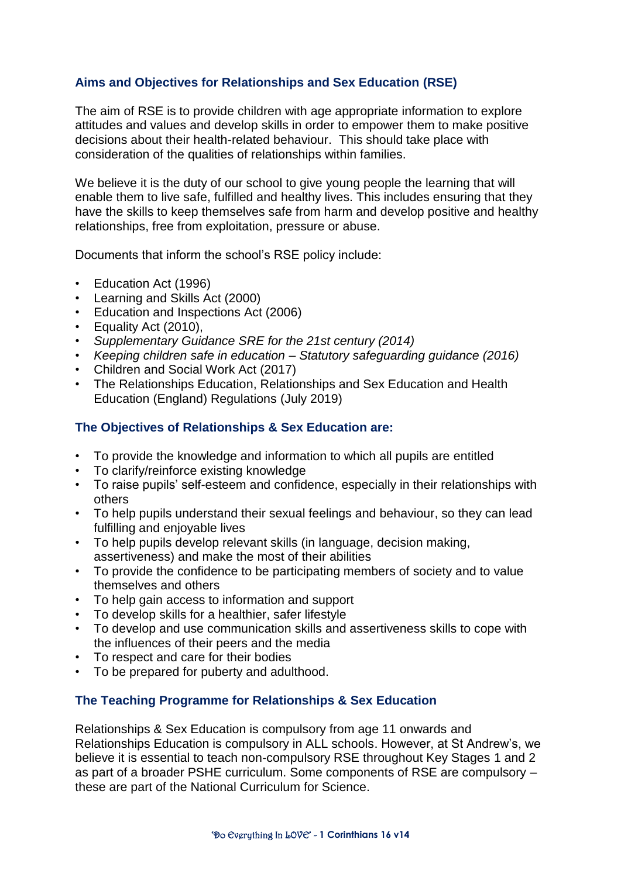# **Aims and Objectives for Relationships and Sex Education (RSE)**

The aim of RSE is to provide children with age appropriate information to explore attitudes and values and develop skills in order to empower them to make positive decisions about their health-related behaviour. This should take place with consideration of the qualities of relationships within families.

We believe it is the duty of our school to give young people the learning that will enable them to live safe, fulfilled and healthy lives. This includes ensuring that they have the skills to keep themselves safe from harm and develop positive and healthy relationships, free from exploitation, pressure or abuse.

Documents that inform the school's RSE policy include:

- Education Act (1996)
- Learning and Skills Act (2000)
- Education and Inspections Act (2006)
- Equality Act (2010),
- *Supplementary Guidance SRE for the 21st century (2014)*
- *Keeping children safe in education – Statutory safeguarding guidance (2016)*
- Children and Social Work Act (2017)
- The Relationships Education, Relationships and Sex Education and Health Education (England) Regulations (July 2019)

# **The Objectives of Relationships & Sex Education are:**

- To provide the knowledge and information to which all pupils are entitled
- To clarify/reinforce existing knowledge
- To raise pupils' self-esteem and confidence, especially in their relationships with others
- To help pupils understand their sexual feelings and behaviour, so they can lead fulfilling and enjoyable lives
- To help pupils develop relevant skills (in language, decision making, assertiveness) and make the most of their abilities
- To provide the confidence to be participating members of society and to value themselves and others
- To help gain access to information and support
- To develop skills for a healthier, safer lifestyle
- To develop and use communication skills and assertiveness skills to cope with the influences of their peers and the media
- To respect and care for their bodies
- To be prepared for puberty and adulthood.

# **The Teaching Programme for Relationships & Sex Education**

Relationships & Sex Education is compulsory from age 11 onwards and Relationships Education is compulsory in ALL schools. However, at St Andrew's, we believe it is essential to teach non-compulsory RSE throughout Key Stages 1 and 2 as part of a broader PSHE curriculum. Some components of RSE are compulsory – these are part of the National Curriculum for Science.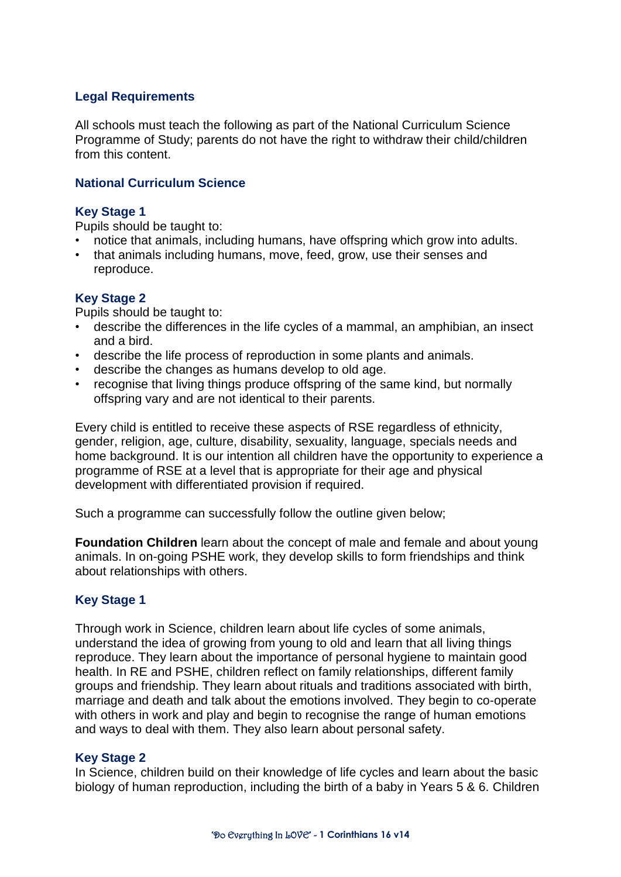## **Legal Requirements**

All schools must teach the following as part of the National Curriculum Science Programme of Study; parents do not have the right to withdraw their child/children from this content.

#### **National Curriculum Science**

#### **Key Stage 1**

Pupils should be taught to:

- notice that animals, including humans, have offspring which grow into adults.
- that animals including humans, move, feed, grow, use their senses and reproduce.

## **Key Stage 2**

Pupils should be taught to:

- describe the differences in the life cycles of a mammal, an amphibian, an insect and a bird.
- describe the life process of reproduction in some plants and animals.
- describe the changes as humans develop to old age.
- recognise that living things produce offspring of the same kind, but normally offspring vary and are not identical to their parents.

Every child is entitled to receive these aspects of RSE regardless of ethnicity, gender, religion, age, culture, disability, sexuality, language, specials needs and home background. It is our intention all children have the opportunity to experience a programme of RSE at a level that is appropriate for their age and physical development with differentiated provision if required.

Such a programme can successfully follow the outline given below;

**Foundation Children** learn about the concept of male and female and about young animals. In on-going PSHE work, they develop skills to form friendships and think about relationships with others.

#### **Key Stage 1**

Through work in Science, children learn about life cycles of some animals, understand the idea of growing from young to old and learn that all living things reproduce. They learn about the importance of personal hygiene to maintain good health. In RE and PSHE, children reflect on family relationships, different family groups and friendship. They learn about rituals and traditions associated with birth, marriage and death and talk about the emotions involved. They begin to co-operate with others in work and play and begin to recognise the range of human emotions and ways to deal with them. They also learn about personal safety.

#### **Key Stage 2**

In Science, children build on their knowledge of life cycles and learn about the basic biology of human reproduction, including the birth of a baby in Years 5 & 6. Children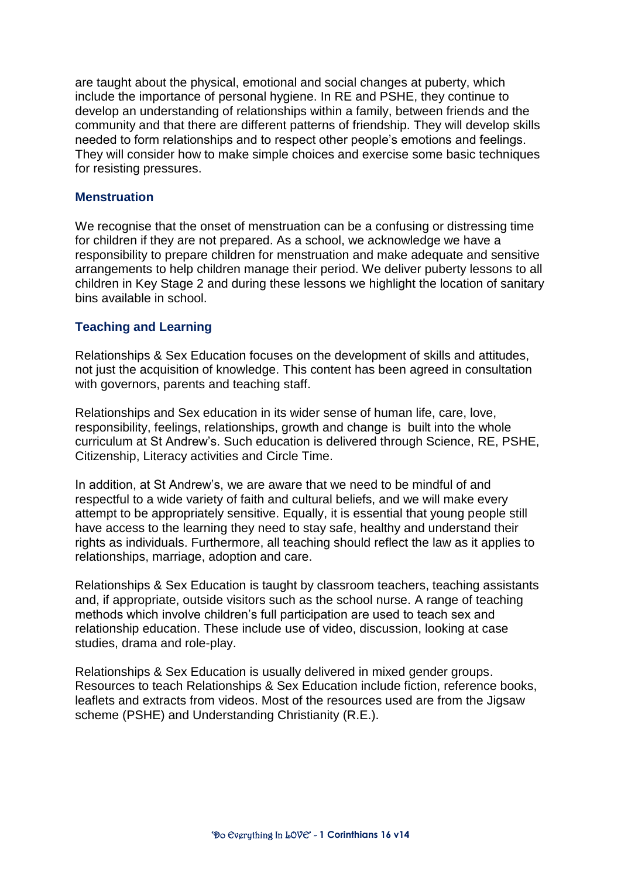are taught about the physical, emotional and social changes at puberty, which include the importance of personal hygiene. In RE and PSHE, they continue to develop an understanding of relationships within a family, between friends and the community and that there are different patterns of friendship. They will develop skills needed to form relationships and to respect other people's emotions and feelings. They will consider how to make simple choices and exercise some basic techniques for resisting pressures.

#### **Menstruation**

We recognise that the onset of menstruation can be a confusing or distressing time for children if they are not prepared. As a school, we acknowledge we have a responsibility to prepare children for menstruation and make adequate and sensitive arrangements to help children manage their period. We deliver puberty lessons to all children in Key Stage 2 and during these lessons we highlight the location of sanitary bins available in school.

#### **Teaching and Learning**

Relationships & Sex Education focuses on the development of skills and attitudes, not just the acquisition of knowledge. This content has been agreed in consultation with governors, parents and teaching staff.

Relationships and Sex education in its wider sense of human life, care, love, responsibility, feelings, relationships, growth and change is built into the whole curriculum at St Andrew's. Such education is delivered through Science, RE, PSHE, Citizenship, Literacy activities and Circle Time.

In addition, at St Andrew's, we are aware that we need to be mindful of and respectful to a wide variety of faith and cultural beliefs, and we will make every attempt to be appropriately sensitive. Equally, it is essential that young people still have access to the learning they need to stay safe, healthy and understand their rights as individuals. Furthermore, all teaching should reflect the law as it applies to relationships, marriage, adoption and care.

Relationships & Sex Education is taught by classroom teachers, teaching assistants and, if appropriate, outside visitors such as the school nurse. A range of teaching methods which involve children's full participation are used to teach sex and relationship education. These include use of video, discussion, looking at case studies, drama and role-play.

Relationships & Sex Education is usually delivered in mixed gender groups. Resources to teach Relationships & Sex Education include fiction, reference books, leaflets and extracts from videos. Most of the resources used are from the Jigsaw scheme (PSHE) and Understanding Christianity (R.E.).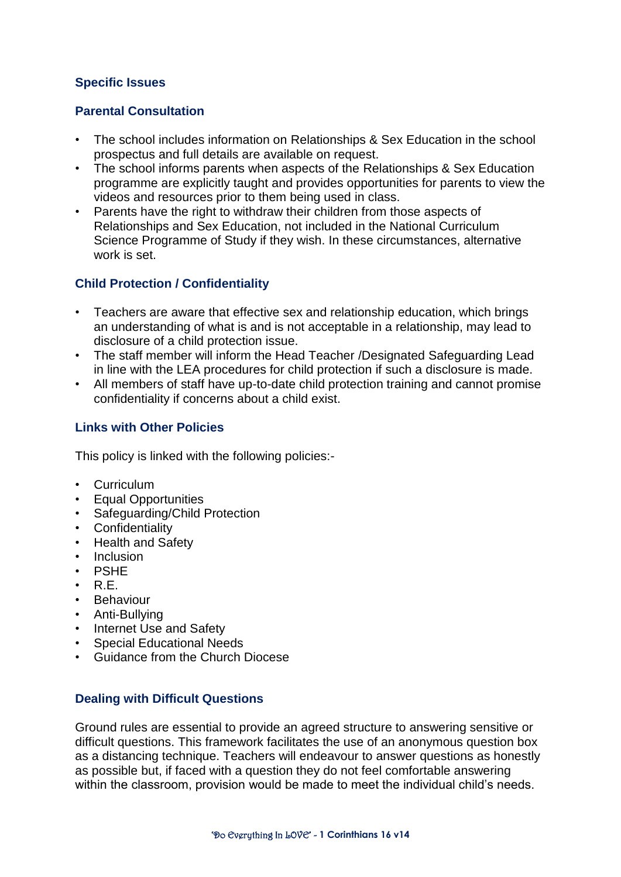# **Specific Issues**

# **Parental Consultation**

- The school includes information on Relationships & Sex Education in the school prospectus and full details are available on request.
- The school informs parents when aspects of the Relationships & Sex Education programme are explicitly taught and provides opportunities for parents to view the videos and resources prior to them being used in class.
- Parents have the right to withdraw their children from those aspects of Relationships and Sex Education, not included in the National Curriculum Science Programme of Study if they wish. In these circumstances, alternative work is set.

# **Child Protection / Confidentiality**

- Teachers are aware that effective sex and relationship education, which brings an understanding of what is and is not acceptable in a relationship, may lead to disclosure of a child protection issue.
- The staff member will inform the Head Teacher /Designated Safeguarding Lead in line with the LEA procedures for child protection if such a disclosure is made.
- All members of staff have up-to-date child protection training and cannot promise confidentiality if concerns about a child exist.

## **Links with Other Policies**

This policy is linked with the following policies:-

- Curriculum
- Equal Opportunities
- Safeguarding/Child Protection
- Confidentiality
- Health and Safety
- Inclusion
- PSHE
- $\cdot$  RF.
- Behaviour
- Anti-Bullying
- Internet Use and Safety
- Special Educational Needs
- Guidance from the Church Diocese

#### **Dealing with Difficult Questions**

Ground rules are essential to provide an agreed structure to answering sensitive or difficult questions. This framework facilitates the use of an anonymous question box as a distancing technique. Teachers will endeavour to answer questions as honestly as possible but, if faced with a question they do not feel comfortable answering within the classroom, provision would be made to meet the individual child's needs.